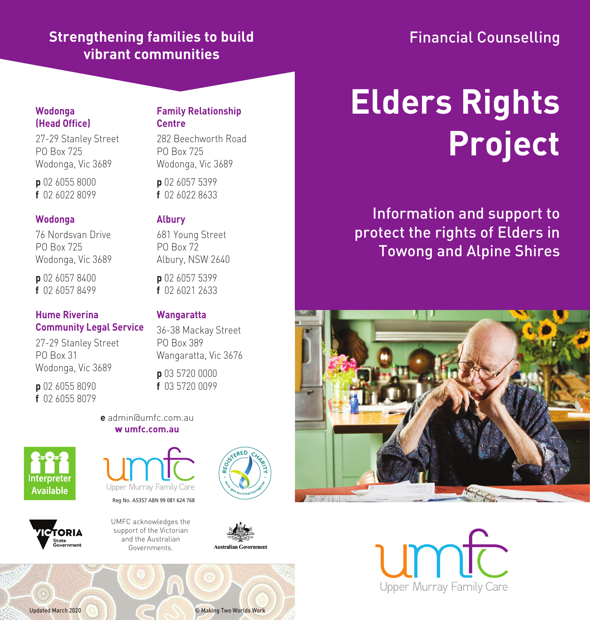## **Strengthening families to build vibrant communities**

# Financial Counselling

#### **Wodonga (Head Office)**

27-29 Stanley Street PO Box 725 Wodonga, Vic 3689

**p** 02 6055 8000 **f** 02 6022 8099

#### **Wodonga**

76 Nordsvan Drive PO Box 725 Wodonga, Vic 3689

**p** 02 6057 8400 **f** 02 6057 8499

#### **Hume Riverina Community Legal Service**

27-29 Stanley Street PO Box 31 Wodonga, Vic 3689

**p** 02 6055 8090 **f** 02 6055 8079

#### **Family Relationship Centre**

282 Beechworth Road PO Box 725 Wodonga, Vic 3689

**p** 02 6057 5399 **f** 02 6022 8633

#### **Albury**

681 Young Street PO Box 72 Albury, NSW 2640

**p** 02 6057 5399 **f** 02 6021 2633

#### **Wangaratta**

36-38 Mackay Street PO Box 389 Wangaratta, Vic 3676

**p** 03 5720 0000 **f** 03 5720 0099

**e** admin@umfc.com.au w **umfc.com.au**





UMFC acknowledges the support of the Victorian and the Australian Governments.

Reg No. A5357 ABN 99 081 624 768

Jpper Murray Family Care



**Australian Government** 

# **Elders Rights Project**

Information and support to protect the rights of Elders in Towong and Alpine Shires



Upper Murray Family Care

Updated March 2020 © Making Two Worlds Work